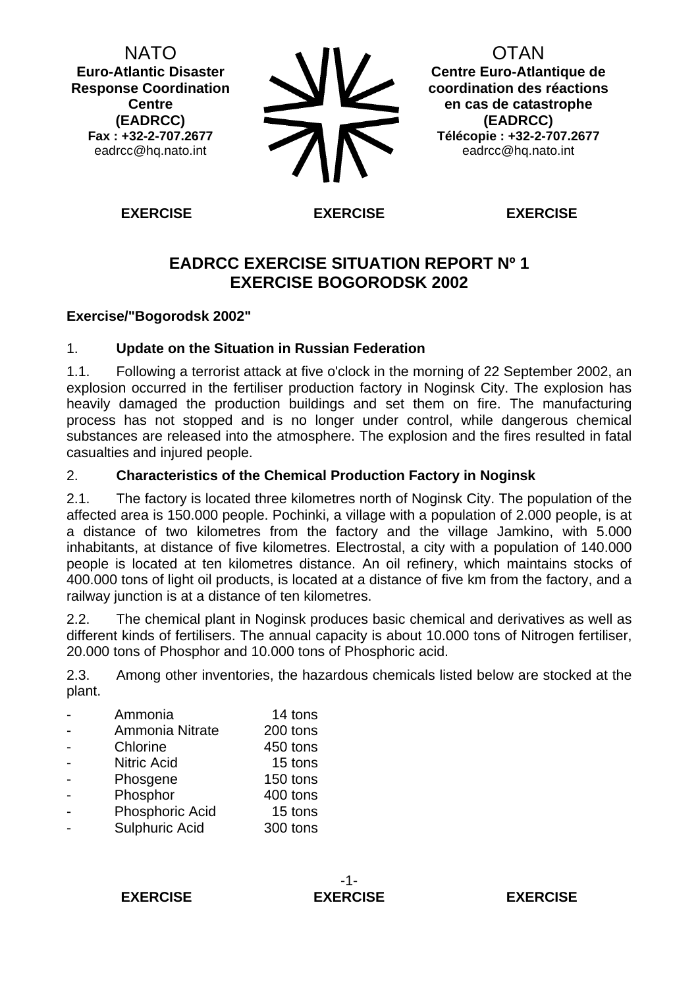NATO **Euro-Atlantic Disaster Response Coordination Centre (EADRCC) Fax : +32-2-707.2677**  eadrcc@hq.nato.int

**OTAN Centre Euro-Atlantique de coordination des réactions en cas de catastrophe (EADRCC) Télécopie : +32-2-707.2677**  eadrcc@hq.nato.int

**EXERCISE EXERCISE EXERCISE** 

# **EADRCC EXERCISE SITUATION REPORT Nº 1 EXERCISE BOGORODSK 2002**

## **Exercise/"Bogorodsk 2002"**

## 1. **Update on the Situation in Russian Federation**

1.1. Following a terrorist attack at five o'clock in the morning of 22 September 2002, an explosion occurred in the fertiliser production factory in Noginsk City. The explosion has heavily damaged the production buildings and set them on fire. The manufacturing process has not stopped and is no longer under control, while dangerous chemical substances are released into the atmosphere. The explosion and the fires resulted in fatal casualties and injured people.

## 2. **Characteristics of the Chemical Production Factory in Noginsk**

2.1. The factory is located three kilometres north of Noginsk City. The population of the affected area is 150.000 people. Pochinki, a village with a population of 2.000 people, is at a distance of two kilometres from the factory and the village Jamkino, with 5.000 inhabitants, at distance of five kilometres. Electrostal, a city with a population of 140.000 people is located at ten kilometres distance. An oil refinery, which maintains stocks of 400.000 tons of light oil products, is located at a distance of five km from the factory, and a railway junction is at a distance of ten kilometres.

2.2. The chemical plant in Noginsk produces basic chemical and derivatives as well as different kinds of fertilisers. The annual capacity is about 10.000 tons of Nitrogen fertiliser, 20.000 tons of Phosphor and 10.000 tons of Phosphoric acid.

<span id="page-0-0"></span>2.3. Among other inventories, the hazardous chemicals listed below are stocked at the plant.

- Ammonia 14 tons Ammonia Nitrate 200 tons - Chlorine 450 tons - Nitric Acid 15 tons - Phosgene 150 tons - Phosphor 400 tons - Phosphoric Acid 15 tons Sulphuric Acid 300 tons

**EXERCISE EXERCISE EXERCISE** 

-1-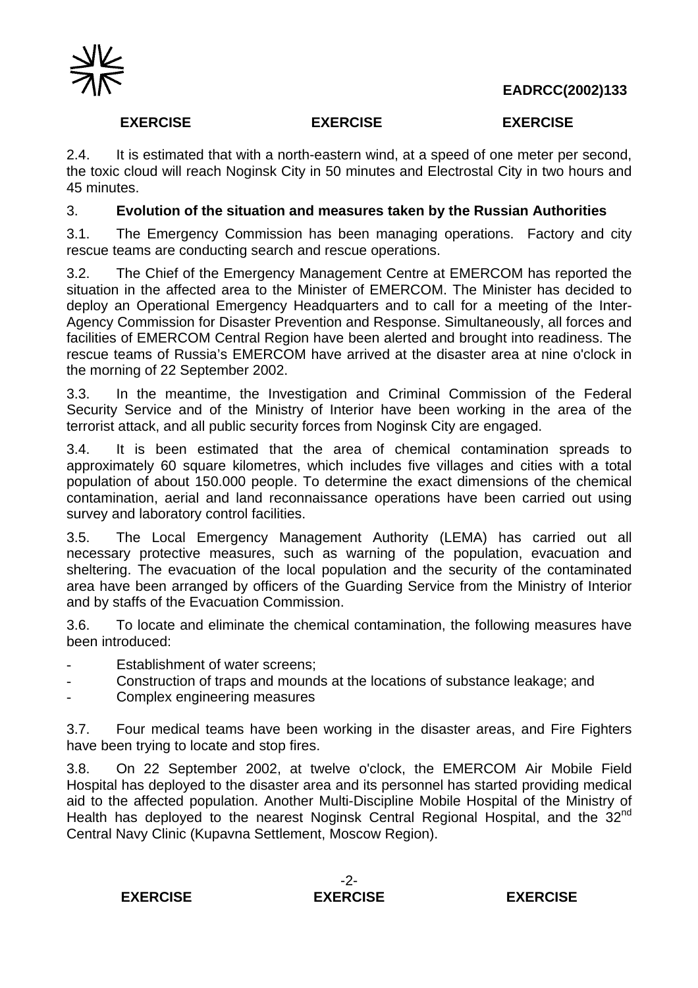**EADRCC(2002)133**



## **EXERCISE EXERCISE EXERCISE**

2.4. It is estimated that with a north-eastern wind, at a speed of one meter per second, the toxic cloud will reach Noginsk City in 50 minutes and Electrostal City in two hours and 45 minutes.

## 3. **Evolution of the situation and measures taken by the Russian Authorities**

3.1. The Emergency Commission has been managing operations. Factory and city rescue teams are conducting search and rescue operations.

3.2. The Chief of the Emergency Management Centre at EMERCOM has reported the situation in the affected area to the Minister of EMERCOM. The Minister has decided to deploy an Operational Emergency Headquarters and to call for a meeting of the Inter-Agency Commission for Disaster Prevention and Response. Simultaneously, all forces and facilities of EMERCOM Central Region have been alerted and brought into readiness. The rescue teams of Russia's EMERCOM have arrived at the disaster area at nine o'clock in the morning of 22 September 2002.

3.3. In the meantime, the Investigation and Criminal Commission of the Federal Security Service and of the Ministry of Interior have been working in the area of the terrorist attack, and all public security forces from Noginsk City are engaged.

3.4. It is been estimated that the area of chemical contamination spreads to approximately 60 square kilometres, which includes five villages and cities with a total population of about 150.000 people. To determine the exact dimensions of the chemical contamination, aerial and land reconnaissance operations have been carried out using survey and laboratory control facilities.

3.5. The Local Emergency Management Authority (LEMA) has carried out all necessary protective measures, such as warning of the population, evacuation and sheltering. The evacuation of the local population and the security of the contaminated area have been arranged by officers of the Guarding Service from the Ministry of Interior and by staffs of the Evacuation Commission.

3.6. To locate and eliminate the chemical contamination, the following measures have been introduced:

- Establishment of water screens:
- Construction of traps and mounds at the locations of substance leakage; and
- Complex engineering measures

3.7. Four medical teams have been working in the disaster areas, and Fire Fighters have been trying to locate and stop fires.

3.8. On 22 September 2002, at twelve o'clock, the EMERCOM Air Mobile Field Hospital has deployed to the disaster area and its personnel has started providing medical aid to the affected population. Another Multi-Discipline Mobile Hospital of the Ministry of Health has deployed to the nearest Noginsk Central Regional Hospital, and the 32<sup>nd</sup> Central Navy Clinic (Kupavna Settlement, Moscow Region).

### **EXERCISE EXERCISE EXERCISE**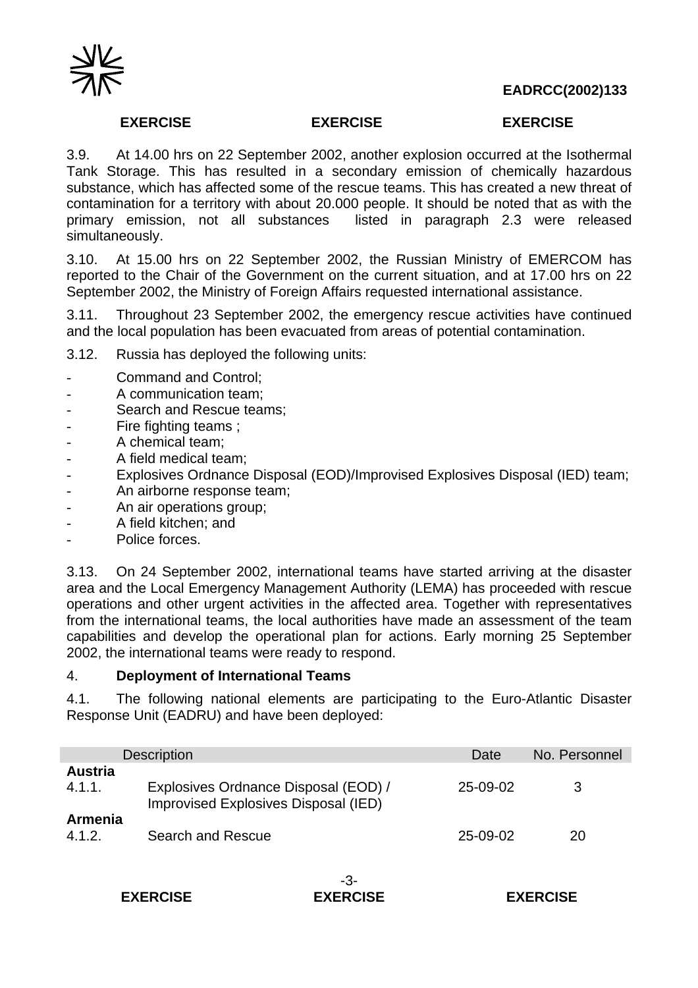



### **EXERCISE EXERCISE EXERCISE**

3.9. At 14.00 hrs on 22 September 2002, another explosion occurred at the Isothermal Tank Storage. This has resulted in a secondary emission of chemically hazardous substance, which has affected some of the rescue teams. This has created a new threat of contamination for a territory with about 20.000 people. It should be noted that as with the primary emission, not all substances listed in paragraph [2.3](#page-0-0) were released simultaneously.

3.10. At 15.00 hrs on 22 September 2002, the Russian Ministry of EMERCOM has reported to the Chair of the Government on the current situation, and at 17.00 hrs on 22 September 2002, the Ministry of Foreign Affairs requested international assistance.

3.11. Throughout 23 September 2002, the emergency rescue activities have continued and the local population has been evacuated from areas of potential contamination.

3.12. Russia has deployed the following units:

- Command and Control;
- A communication team:
- Search and Rescue teams;
- Fire fighting teams :
- A chemical team;
- A field medical team;
- Explosives Ordnance Disposal (EOD)/Improvised Explosives Disposal (IED) team;
- An airborne response team;
- An air operations group;
- A field kitchen; and
- Police forces.

3.13. On 24 September 2002, international teams have started arriving at the disaster area and the Local Emergency Management Authority (LEMA) has proceeded with rescue operations and other urgent activities in the affected area. Together with representatives from the international teams, the local authorities have made an assessment of the team capabilities and develop the operational plan for actions. Early morning 25 September 2002, the international teams were ready to respond.

### <span id="page-2-0"></span>4. **Deployment of International Teams**

4.1. The following national elements are participating to the Euro-Atlantic Disaster Response Unit (EADRU) and have been deployed:

|                          | <b>Description</b>                                                           | Date     | No. Personnel |
|--------------------------|------------------------------------------------------------------------------|----------|---------------|
| <b>Austria</b><br>4.1.1. | Explosives Ordnance Disposal (EOD) /<br>Improvised Explosives Disposal (IED) | 25-09-02 | 3             |
| <b>Armenia</b><br>4.1.2. | Search and Rescue                                                            | 25-09-02 | 20            |

**EXERCISE EXERCISE EXERCISE** 

-3-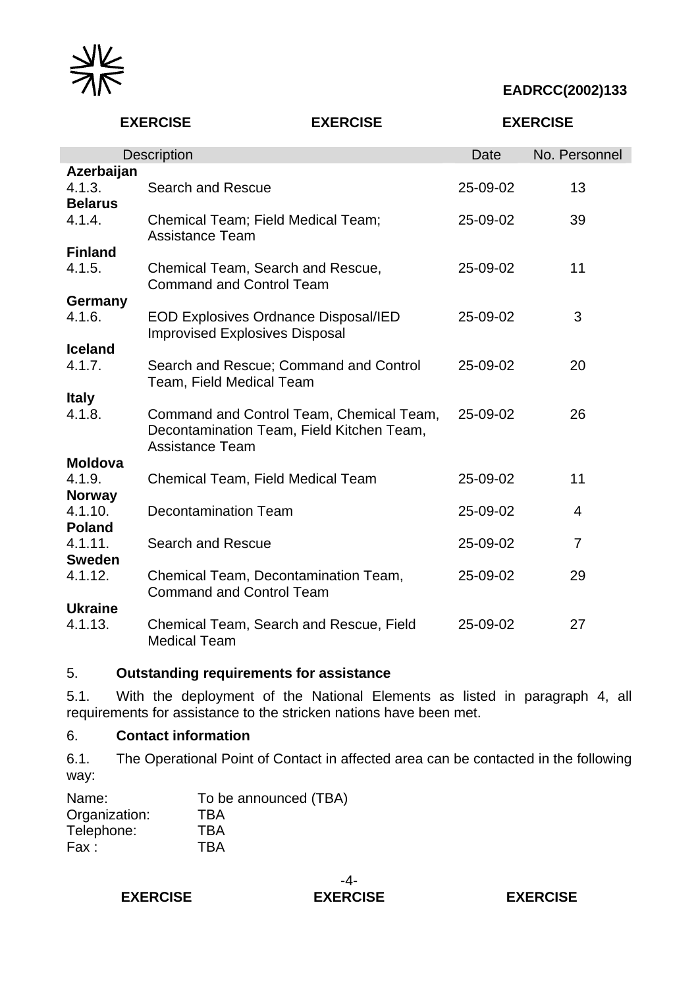

 **EADRCC(2002)133**

|                                        | <b>EXERCISE</b>                                                                                                 | <b>EXERCISE</b> |          | <b>EXERCISE</b> |
|----------------------------------------|-----------------------------------------------------------------------------------------------------------------|-----------------|----------|-----------------|
|                                        | <b>Description</b>                                                                                              |                 | Date     | No. Personnel   |
| Azerbaijan<br>4.1.3.<br><b>Belarus</b> | Search and Rescue                                                                                               |                 | 25-09-02 | 13              |
| 4.1.4.                                 | Chemical Team; Field Medical Team;<br><b>Assistance Team</b>                                                    |                 | 25-09-02 | 39              |
| <b>Finland</b>                         |                                                                                                                 |                 |          |                 |
| 4.1.5.                                 | Chemical Team, Search and Rescue,<br><b>Command and Control Team</b>                                            |                 | 25-09-02 | 11              |
| Germany                                |                                                                                                                 |                 |          |                 |
| 4.1.6.                                 | <b>EOD Explosives Ordnance Disposal/IED</b><br><b>Improvised Explosives Disposal</b>                            |                 | 25-09-02 | 3               |
| <b>Iceland</b>                         |                                                                                                                 |                 |          |                 |
| 4.1.7.                                 | Search and Rescue; Command and Control<br>Team, Field Medical Team                                              |                 | 25-09-02 | 20              |
| <b>Italy</b>                           |                                                                                                                 |                 |          |                 |
| 4.1.8.                                 | Command and Control Team, Chemical Team,<br>Decontamination Team, Field Kitchen Team,<br><b>Assistance Team</b> |                 | 25-09-02 | 26              |
| <b>Moldova</b>                         |                                                                                                                 |                 |          |                 |
| 4.1.9.                                 | Chemical Team, Field Medical Team                                                                               |                 | 25-09-02 | 11              |
| <b>Norway</b>                          |                                                                                                                 |                 |          |                 |
| 4.1.10.                                | <b>Decontamination Team</b>                                                                                     |                 | 25-09-02 | $\overline{4}$  |
| <b>Poland</b>                          |                                                                                                                 |                 |          |                 |
| 4.1.11.                                | <b>Search and Rescue</b>                                                                                        |                 | 25-09-02 | $\overline{7}$  |
| <b>Sweden</b>                          |                                                                                                                 |                 |          |                 |
| 4.1.12.                                | Chemical Team, Decontamination Team,<br><b>Command and Control Team</b>                                         |                 | 25-09-02 | 29              |
| <b>Ukraine</b>                         |                                                                                                                 |                 |          |                 |
| 4.1.13.                                | Chemical Team, Search and Rescue, Field<br><b>Medical Team</b>                                                  |                 | 25-09-02 | 27              |

## 5. **Outstanding requirements for assistance**

5.1. With the deployment of the National Elements as listed in paragraph [4,](#page-2-0) all requirements for assistance to the stricken nations have been met.

## 6. **Contact information**

6.1. The Operational Point of Contact in affected area can be contacted in the following way:

| Name:         | To be announced (TBA) |
|---------------|-----------------------|
| Organization: | <b>TBA</b>            |
| Telephone:    | <b>TBA</b>            |
| Fax:          | <b>TBA</b>            |

## **EXERCISE EXERCISE EXERCISE**